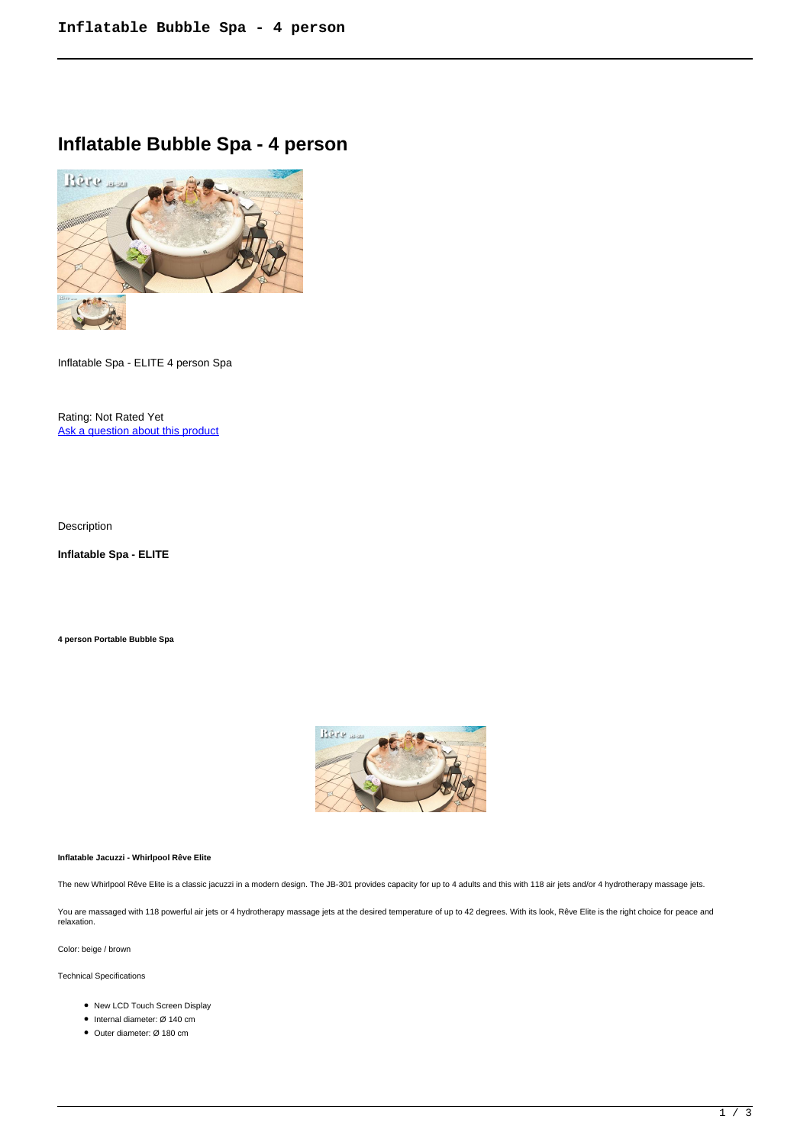## **Inflatable Bubble Spa - 4 person**



Inflatable Spa - ELITE 4 person Spa

Rating: Not Rated Yet Ask a question about this product

Description

**Inflatable Spa - ELITE** 

**4 person Portable Bubble Spa**



## **Inflatable Jacuzzi - Whirlpool Rêve Elite**

The new Whirlpool Rêve Elite is a classic jacuzzi in a modern design. The JB-301 provides capacity for up to 4 adults and this with 118 air jets and/or 4 hydrotherapy massage jets.

You are massaged with 118 powerful air jets or 4 hydrotherapy massage jets at the desired temperature of up to 42 degrees. With its look, Rêve Elite is the right choice for peace and relaxation.

Color: beige / brown

Technical Specifications

- New LCD Touch Screen Display
- Internal diameter: Ø 140 cm
- Outer diameter: Ø 180 cm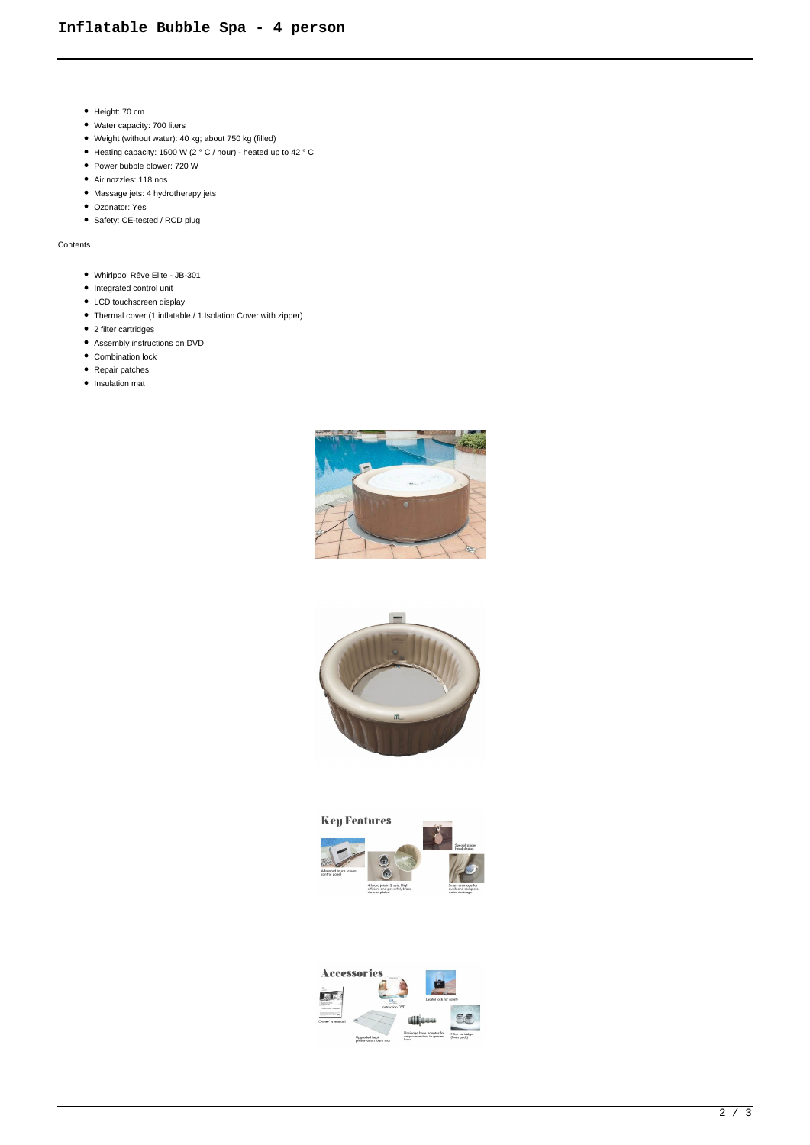- Height: 70 cm
- Water capacity: 700 liters
- Weight (without water): 40 kg; about 750 kg (filled)
- Heating capacity: 1500 W (2 ° C / hour) heated up to 42 ° C
- Power bubble blower: 720 W
- Air nozzles: 118 nos
- Massage jets: 4 hydrotherapy jets
- Ozonator: Yes
- Safety: CE-tested / RCD plug

Contents

- Whirlpool Rêve Elite JB-301
- $\bullet$  Integrated control unit
- LCD touchscreen display
- Thermal cover (1 inflatable / 1 Isolation Cover with zipper)
- 2 filter cartridges
- Assembly instructions on DVD
- Combination lock
- Repair patches
- Insulation mat